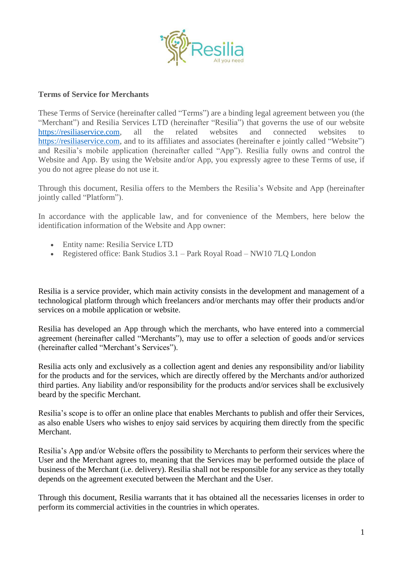

## **Terms of Service for Merchants**

These Terms of Service (hereinafter called "Terms") are a binding legal agreement between you (the "Merchant") and Resilia Services LTD (hereinafter "Resilia") that governs the use of our website [https://resiliaservice.com,](https://resiliaservice.com/) all the related websites and connected websites to [https://resiliaservice.com,](https://resiliaservice.com/) and to its affiliates and associates (hereinafter e jointly called "Website") and Resilia's mobile application (hereinafter called "App"). Resilia fully owns and control the Website and App. By using the Website and/or App, you expressly agree to these Terms of use, if you do not agree please do not use it.

Through this document, Resilia offers to the Members the Resilia's Website and App (hereinafter jointly called "Platform").

In accordance with the applicable law, and for convenience of the Members, here below the identification information of the Website and App owner:

- Entity name: Resilia Service LTD
- Registered office: Bank Studios 3.1 Park Royal Road NW10 7LQ London

Resilia is a service provider, which main activity consists in the development and management of a technological platform through which freelancers and/or merchants may offer their products and/or services on a mobile application or website.

Resilia has developed an App through which the merchants, who have entered into a commercial agreement (hereinafter called "Merchants"), may use to offer a selection of goods and/or services (hereinafter called "Merchant's Services").

Resilia acts only and exclusively as a collection agent and denies any responsibility and/or liability for the products and for the services, which are directly offered by the Merchants and/or authorized third parties. Any liability and/or responsibility for the products and/or services shall be exclusively beard by the specific Merchant.

Resilia's scope is to offer an online place that enables Merchants to publish and offer their Services, as also enable Users who wishes to enjoy said services by acquiring them directly from the specific Merchant.

Resilia's App and/or Website offers the possibility to Merchants to perform their services where the User and the Merchant agrees to, meaning that the Services may be performed outside the place of business of the Merchant (i.e. delivery). Resilia shall not be responsible for any service as they totally depends on the agreement executed between the Merchant and the User.

Through this document, Resilia warrants that it has obtained all the necessaries licenses in order to perform its commercial activities in the countries in which operates.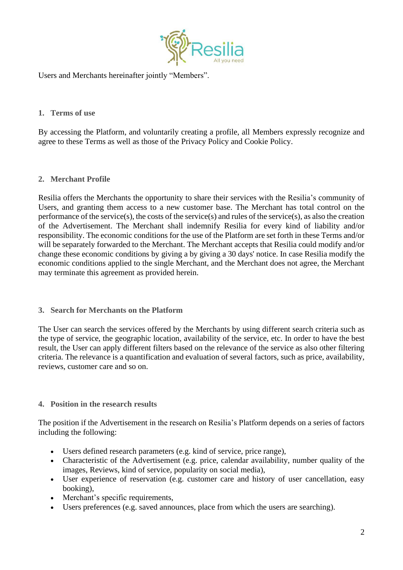

Users and Merchants hereinafter jointly "Members".

## **1. Terms of use**

By accessing the Platform, and voluntarily creating a profile, all Members expressly recognize and agree to these Terms as well as those of the Privacy Policy and Cookie Policy.

# **2. Merchant Profile**

Resilia offers the Merchants the opportunity to share their services with the Resilia's community of Users, and granting them access to a new customer base. The Merchant has total control on the performance of the service(s), the costs of the service(s) and rules of the service(s), as also the creation of the Advertisement. The Merchant shall indemnify Resilia for every kind of liability and/or responsibility. The economic conditions for the use of the Platform are set forth in these Terms and/or will be separately forwarded to the Merchant. The Merchant accepts that Resilia could modify and/or change these economic conditions by giving a by giving a 30 days' notice. In case Resilia modify the economic conditions applied to the single Merchant, and the Merchant does not agree, the Merchant may terminate this agreement as provided herein.

### **3. Search for Merchants on the Platform**

The User can search the services offered by the Merchants by using different search criteria such as the type of service, the geographic location, availability of the service, etc. In order to have the best result, the User can apply different filters based on the relevance of the service as also other filtering criteria. The relevance is a quantification and evaluation of several factors, such as price, availability, reviews, customer care and so on.

### **4. Position in the research results**

The position if the Advertisement in the research on Resilia's Platform depends on a series of factors including the following:

- Users defined research parameters (e.g. kind of service, price range),
- Characteristic of the Advertisement (e.g. price, calendar availability, number quality of the images, Reviews, kind of service, popularity on social media),
- User experience of reservation (e.g. customer care and history of user cancellation, easy booking),
- Merchant's specific requirements,
- Users preferences (e.g. saved announces, place from which the users are searching).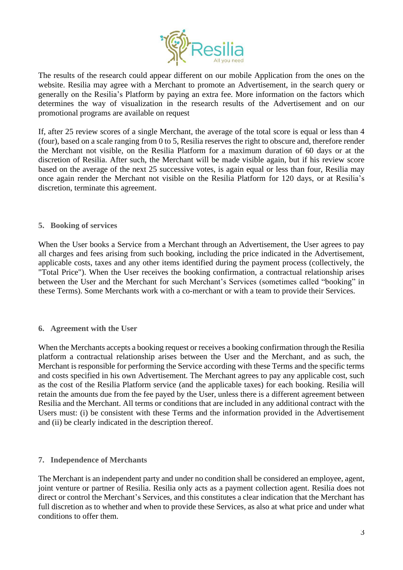

The results of the research could appear different on our mobile Application from the ones on the website. Resilia may agree with a Merchant to promote an Advertisement, in the search query or generally on the Resilia's Platform by paying an extra fee. More information on the factors which determines the way of visualization in the research results of the Advertisement and on our promotional programs are available on request

If, after 25 review scores of a single Merchant, the average of the total score is equal or less than 4 (four), based on a scale ranging from 0 to 5, Resilia reserves the right to obscure and, therefore render the Merchant not visible, on the Resilia Platform for a maximum duration of 60 days or at the discretion of Resilia. After such, the Merchant will be made visible again, but if his review score based on the average of the next 25 successive votes, is again equal or less than four, Resilia may once again render the Merchant not visible on the Resilia Platform for 120 days, or at Resilia's discretion, terminate this agreement.

## **5. Booking of services**

When the User books a Service from a Merchant through an Advertisement, the User agrees to pay all charges and fees arising from such booking, including the price indicated in the Advertisement, applicable costs, taxes and any other items identified during the payment process (collectively, the "Total Price"). When the User receives the booking confirmation, a contractual relationship arises between the User and the Merchant for such Merchant's Services (sometimes called "booking" in these Terms). Some Merchants work with a co-merchant or with a team to provide their Services.

### **6. Agreement with the User**

When the Merchants accepts a booking request or receives a booking confirmation through the Resilia platform a contractual relationship arises between the User and the Merchant, and as such, the Merchant is responsible for performing the Service according with these Terms and the specific terms and costs specified in his own Advertisement. The Merchant agrees to pay any applicable cost, such as the cost of the Resilia Platform service (and the applicable taxes) for each booking. Resilia will retain the amounts due from the fee payed by the User, unless there is a different agreement between Resilia and the Merchant. All terms or conditions that are included in any additional contract with the Users must: (i) be consistent with these Terms and the information provided in the Advertisement and (ii) be clearly indicated in the description thereof.

# **7. Independence of Merchants**

The Merchant is an independent party and under no condition shall be considered an employee, agent, joint venture or partner of Resilia. Resilia only acts as a payment collection agent. Resilia does not direct or control the Merchant's Services, and this constitutes a clear indication that the Merchant has full discretion as to whether and when to provide these Services, as also at what price and under what conditions to offer them.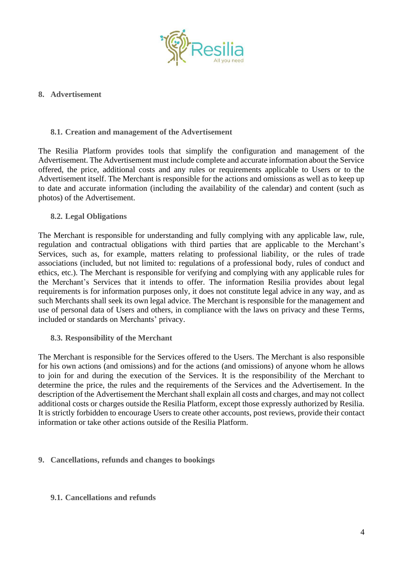

## **8. Advertisement**

## **8.1. Creation and management of the Advertisement**

The Resilia Platform provides tools that simplify the configuration and management of the Advertisement. The Advertisement must include complete and accurate information about the Service offered, the price, additional costs and any rules or requirements applicable to Users or to the Advertisement itself. The Merchant is responsible for the actions and omissions as well as to keep up to date and accurate information (including the availability of the calendar) and content (such as photos) of the Advertisement.

## **8.2. Legal Obligations**

The Merchant is responsible for understanding and fully complying with any applicable law, rule, regulation and contractual obligations with third parties that are applicable to the Merchant's Services, such as, for example, matters relating to professional liability, or the rules of trade associations (included, but not limited to: regulations of a professional body, rules of conduct and ethics, etc.). The Merchant is responsible for verifying and complying with any applicable rules for the Merchant's Services that it intends to offer. The information Resilia provides about legal requirements is for information purposes only, it does not constitute legal advice in any way, and as such Merchants shall seek its own legal advice. The Merchant is responsible for the management and use of personal data of Users and others, in compliance with the laws on privacy and these Terms, included or standards on Merchants' privacy.

**8.3. Responsibility of the Merchant**

The Merchant is responsible for the Services offered to the Users. The Merchant is also responsible for his own actions (and omissions) and for the actions (and omissions) of anyone whom he allows to join for and during the execution of the Services. It is the responsibility of the Merchant to determine the price, the rules and the requirements of the Services and the Advertisement. In the description of the Advertisement the Merchant shall explain all costs and charges, and may not collect additional costs or charges outside the Resilia Platform, except those expressly authorized by Resilia. It is strictly forbidden to encourage Users to create other accounts, post reviews, provide their contact information or take other actions outside of the Resilia Platform.

# **9. Cancellations, refunds and changes to bookings**

### **9.1. Cancellations and refunds**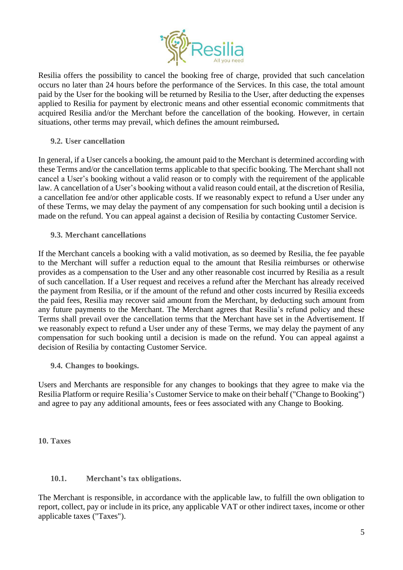

Resilia offers the possibility to cancel the booking free of charge, provided that such cancelation occurs no later than 24 hours before the performance of the Services. In this case, the total amount paid by the User for the booking will be returned by Resilia to the User, after deducting the expenses applied to Resilia for payment by electronic means and other essential economic commitments that acquired Resilia and/or the Merchant before the cancellation of the booking. However, in certain situations, other terms may prevail, which defines the amount reimbursed**.**

## **9.2. User cancellation**

In general, if a User cancels a booking, the amount paid to the Merchant is determined according with these Terms and/or the cancellation terms applicable to that specific booking. The Merchant shall not cancel a User's booking without a valid reason or to comply with the requirement of the applicable law. A cancellation of a User's booking without a valid reason could entail, at the discretion of Resilia, a cancellation fee and/or other applicable costs. If we reasonably expect to refund a User under any of these Terms, we may delay the payment of any compensation for such booking until a decision is made on the refund. You can appeal against a decision of Resilia by contacting Customer Service.

**9.3. Merchant cancellations**

If the Merchant cancels a booking with a valid motivation, as so deemed by Resilia, the fee payable to the Merchant will suffer a reduction equal to the amount that Resilia reimburses or otherwise provides as a compensation to the User and any other reasonable cost incurred by Resilia as a result of such cancellation. If a User request and receives a refund after the Merchant has already received the payment from Resilia, or if the amount of the refund and other costs incurred by Resilia exceeds the paid fees, Resilia may recover said amount from the Merchant, by deducting such amount from any future payments to the Merchant. The Merchant agrees that Resilia's refund policy and these Terms shall prevail over the cancellation terms that the Merchant have set in the Advertisement. If we reasonably expect to refund a User under any of these Terms, we may delay the payment of any compensation for such booking until a decision is made on the refund. You can appeal against a decision of Resilia by contacting Customer Service.

**9.4. Changes to bookings.** 

Users and Merchants are responsible for any changes to bookings that they agree to make via the Resilia Platform or require Resilia's Customer Service to make on their behalf ("Change to Booking") and agree to pay any additional amounts, fees or fees associated with any Change to Booking.

**10. Taxes**

### **10.1. Merchant's tax obligations.**

The Merchant is responsible, in accordance with the applicable law, to fulfill the own obligation to report, collect, pay or include in its price, any applicable VAT or other indirect taxes, income or other applicable taxes ("Taxes").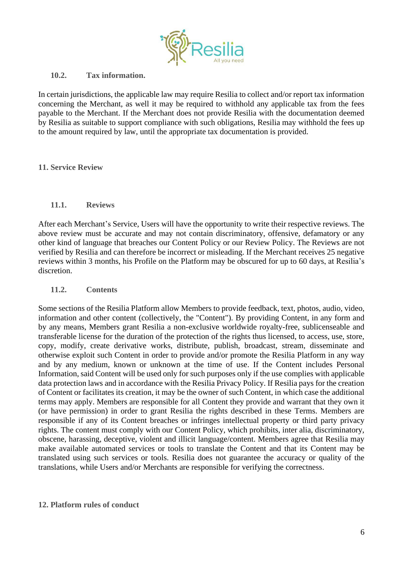

## **10.2. Tax information.**

In certain jurisdictions, the applicable law may require Resilia to collect and/or report tax information concerning the Merchant, as well it may be required to withhold any applicable tax from the fees payable to the Merchant. If the Merchant does not provide Resilia with the documentation deemed by Resilia as suitable to support compliance with such obligations, Resilia may withhold the fees up to the amount required by law, until the appropriate tax documentation is provided.

## **11. Service Review**

## **11.1. Reviews**

After each Merchant's Service, Users will have the opportunity to write their respective reviews. The above review must be accurate and may not contain discriminatory, offensive, defamatory or any other kind of language that breaches our Content Policy or our Review Policy. The Reviews are not verified by Resilia and can therefore be incorrect or misleading. If the Merchant receives 25 negative reviews within 3 months, his Profile on the Platform may be obscured for up to 60 days, at Resilia's discretion.

## **11.2. Contents**

Some sections of the Resilia Platform allow Members to provide feedback, text, photos, audio, video, information and other content (collectively, the "Content"). By providing Content, in any form and by any means, Members grant Resilia a non-exclusive worldwide royalty-free, sublicenseable and transferable license for the duration of the protection of the rights thus licensed, to access, use, store, copy, modify, create derivative works, distribute, publish, broadcast, stream, disseminate and otherwise exploit such Content in order to provide and/or promote the Resilia Platform in any way and by any medium, known or unknown at the time of use. If the Content includes Personal Information, said Content will be used only for such purposes only if the use complies with applicable data protection laws and in accordance with the Resilia Privacy Policy. If Resilia pays for the creation of Content or facilitates its creation, it may be the owner of such Content, in which case the additional terms may apply. Members are responsible for all Content they provide and warrant that they own it (or have permission) in order to grant Resilia the rights described in these Terms. Members are responsible if any of its Content breaches or infringes intellectual property or third party privacy rights. The content must comply with our Content Policy, which prohibits, inter alia, discriminatory, obscene, harassing, deceptive, violent and illicit language/content. Members agree that Resilia may make available automated services or tools to translate the Content and that its Content may be translated using such services or tools. Resilia does not guarantee the accuracy or quality of the translations, while Users and/or Merchants are responsible for verifying the correctness.

### **12. Platform rules of conduct**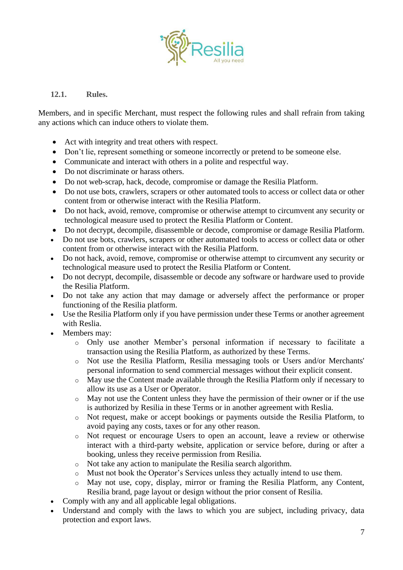

# **12.1. Rules.**

Members, and in specific Merchant, must respect the following rules and shall refrain from taking any actions which can induce others to violate them.

- Act with integrity and treat others with respect.
- Don't lie, represent something or someone incorrectly or pretend to be someone else.
- Communicate and interact with others in a polite and respectful way.
- Do not discriminate or harass others.
- Do not web-scrap, hack, decode, compromise or damage the Resilia Platform.
- Do not use bots, crawlers, scrapers or other automated tools to access or collect data or other content from or otherwise interact with the Resilia Platform.
- Do not hack, avoid, remove, compromise or otherwise attempt to circumvent any security or technological measure used to protect the Resilia Platform or Content.
- Do not decrypt, decompile, disassemble or decode, compromise or damage Resilia Platform.
- Do not use bots, crawlers, scrapers or other automated tools to access or collect data or other content from or otherwise interact with the Resilia Platform.
- Do not hack, avoid, remove, compromise or otherwise attempt to circumvent any security or technological measure used to protect the Resilia Platform or Content.
- Do not decrypt, decompile, disassemble or decode any software or hardware used to provide the Resilia Platform.
- Do not take any action that may damage or adversely affect the performance or proper functioning of the Resilia platform.
- Use the Resilia Platform only if you have permission under these Terms or another agreement with Reslia.
- Members may:
	- o Only use another Member's personal information if necessary to facilitate a transaction using the Resilia Platform, as authorized by these Terms.
	- o Not use the Resilia Platform, Resilia messaging tools or Users and/or Merchants' personal information to send commercial messages without their explicit consent.
	- o May use the Content made available through the Resilia Platform only if necessary to allow its use as a User or Operator.
	- o May not use the Content unless they have the permission of their owner or if the use is authorized by Resilia in these Terms or in another agreement with Reslia.
	- o Not request, make or accept bookings or payments outside the Resilia Platform, to avoid paying any costs, taxes or for any other reason.
	- o Not request or encourage Users to open an account, leave a review or otherwise interact with a third-party website, application or service before, during or after a booking, unless they receive permission from Resilia.
	- o Not take any action to manipulate the Resilia search algorithm.
	- o Must not book the Operator's Services unless they actually intend to use them.
	- o May not use, copy, display, mirror or framing the Resilia Platform, any Content, Resilia brand, page layout or design without the prior consent of Resilia.
- Comply with any and all applicable legal obligations.
- Understand and comply with the laws to which you are subject, including privacy, data protection and export laws.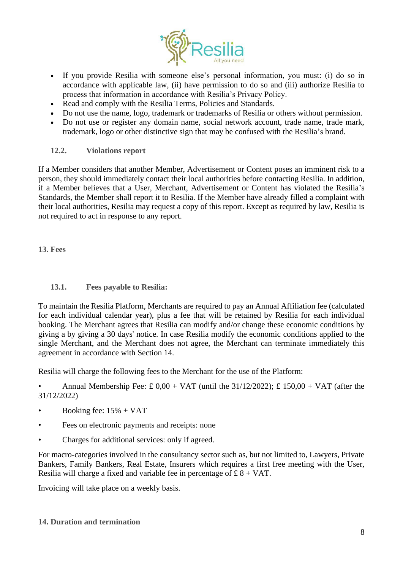

- If you provide Resilia with someone else's personal information, you must: (i) do so in accordance with applicable law, (ii) have permission to do so and (iii) authorize Resilia to process that information in accordance with Resilia's Privacy Policy.
- Read and comply with the Resilia Terms, Policies and Standards.
- Do not use the name, logo, trademark or trademarks of Resilia or others without permission.
- Do not use or register any domain name, social network account, trade name, trade mark, trademark, logo or other distinctive sign that may be confused with the Resilia's brand.

## **12.2. Violations report**

If a Member considers that another Member, Advertisement or Content poses an imminent risk to a person, they should immediately contact their local authorities before contacting Resilia. In addition, if a Member believes that a User, Merchant, Advertisement or Content has violated the Resilia's Standards, the Member shall report it to Resilia. If the Member have already filled a complaint with their local authorities, Resilia may request a copy of this report. Except as required by law, Resilia is not required to act in response to any report.

**13. Fees**

# **13.1. Fees payable to Resilia:**

To maintain the Resilia Platform, Merchants are required to pay an Annual Affiliation fee (calculated for each individual calendar year), plus a fee that will be retained by Resilia for each individual booking. The Merchant agrees that Resilia can modify and/or change these economic conditions by giving a by giving a 30 days' notice. In case Resilia modify the economic conditions applied to the single Merchant, and the Merchant does not agree, the Merchant can terminate immediately this agreement in accordance with Section 14.

Resilia will charge the following fees to the Merchant for the use of the Platform:

Annual Membership Fee:  $\pounds$  0,00 + VAT (until the 31/12/2022);  $\pounds$  150,00 + VAT (after the 31/12/2022)

- Booking fee:  $15% + \text{VAT}$
- Fees on electronic payments and receipts: none
- Charges for additional services: only if agreed.

For macro-categories involved in the consultancy sector such as, but not limited to, Lawyers, Private Bankers, Family Bankers, Real Estate, Insurers which requires a first free meeting with the User, Resilia will charge a fixed and variable fee in percentage of  $\pounds 8 + \text{VAT}$ .

Invoicing will take place on a weekly basis.

**14. Duration and termination**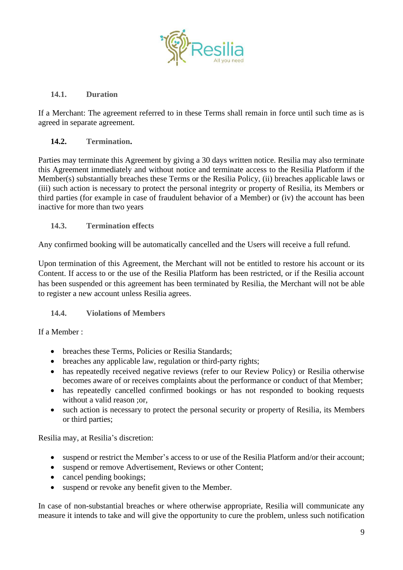

# **14.1. Duration**

If a Merchant: The agreement referred to in these Terms shall remain in force until such time as is agreed in separate agreement.

# **14.2. Termination.**

Parties may terminate this Agreement by giving a 30 days written notice. Resilia may also terminate this Agreement immediately and without notice and terminate access to the Resilia Platform if the Member(s) substantially breaches these Terms or the Resilia Policy, (ii) breaches applicable laws or (iii) such action is necessary to protect the personal integrity or property of Resilia, its Members or third parties (for example in case of fraudulent behavior of a Member) or (iv) the account has been inactive for more than two years

# **14.3. Termination effects**

Any confirmed booking will be automatically cancelled and the Users will receive a full refund.

Upon termination of this Agreement, the Merchant will not be entitled to restore his account or its Content. If access to or the use of the Resilia Platform has been restricted, or if the Resilia account has been suspended or this agreement has been terminated by Resilia, the Merchant will not be able to register a new account unless Resilia agrees.

# **14.4. Violations of Members**

# If a Member :

- breaches these Terms, Policies or Resilia Standards;
- breaches any applicable law, regulation or third-party rights;
- has repeatedly received negative reviews (refer to our Review Policy) or Resilia otherwise becomes aware of or receives complaints about the performance or conduct of that Member;
- has repeatedly cancelled confirmed bookings or has not responded to booking requests without a valid reason ;or,
- such action is necessary to protect the personal security or property of Resilia, its Members or third parties;

Resilia may, at Resilia's discretion:

- suspend or restrict the Member's access to or use of the Resilia Platform and/or their account;
- suspend or remove Advertisement, Reviews or other Content;
- cancel pending bookings;
- suspend or revoke any benefit given to the Member.

In case of non-substantial breaches or where otherwise appropriate, Resilia will communicate any measure it intends to take and will give the opportunity to cure the problem, unless such notification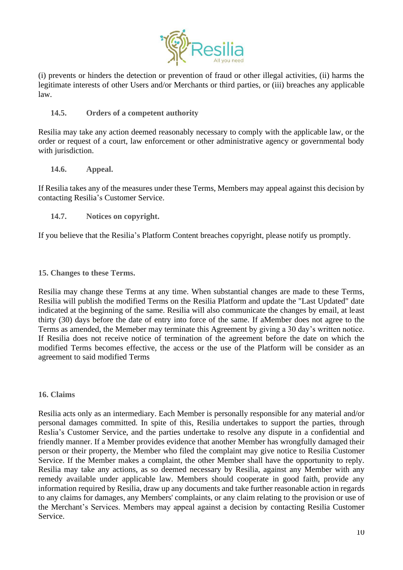

(i) prevents or hinders the detection or prevention of fraud or other illegal activities, (ii) harms the legitimate interests of other Users and/or Merchants or third parties, or (iii) breaches any applicable law.

## **14.5. Orders of a competent authority**

Resilia may take any action deemed reasonably necessary to comply with the applicable law, or the order or request of a court, law enforcement or other administrative agency or governmental body with jurisdiction.

### **14.6. Appeal.**

If Resilia takes any of the measures under these Terms, Members may appeal against this decision by contacting Resilia's Customer Service.

**14.7. Notices on copyright.**

If you believe that the Resilia's Platform Content breaches copyright, please notify us promptly.

## **15. Changes to these Terms.**

Resilia may change these Terms at any time. When substantial changes are made to these Terms, Resilia will publish the modified Terms on the Resilia Platform and update the "Last Updated" date indicated at the beginning of the same. Resilia will also communicate the changes by email, at least thirty (30) days before the date of entry into force of the same. If aMember does not agree to the Terms as amended, the Memeber may terminate this Agreement by giving a 30 day's written notice. If Resilia does not receive notice of termination of the agreement before the date on which the modified Terms becomes effective, the access or the use of the Platform will be consider as an agreement to said modified Terms

### **16. Claims**

Resilia acts only as an intermediary. Each Member is personally responsible for any material and/or personal damages committed. In spite of this, Resilia undertakes to support the parties, through Reslia's Customer Service, and the parties undertake to resolve any dispute in a confidential and friendly manner. If a Member provides evidence that another Member has wrongfully damaged their person or their property, the Member who filed the complaint may give notice to Resilia Customer Service. If the Member makes a complaint, the other Member shall have the opportunity to reply. Resilia may take any actions, as so deemed necessary by Resilia, against any Member with any remedy available under applicable law. Members should cooperate in good faith, provide any information required by Resilia, draw up any documents and take further reasonable action in regards to any claims for damages, any Members' complaints, or any claim relating to the provision or use of the Merchant's Services. Members may appeal against a decision by contacting Resilia Customer Service.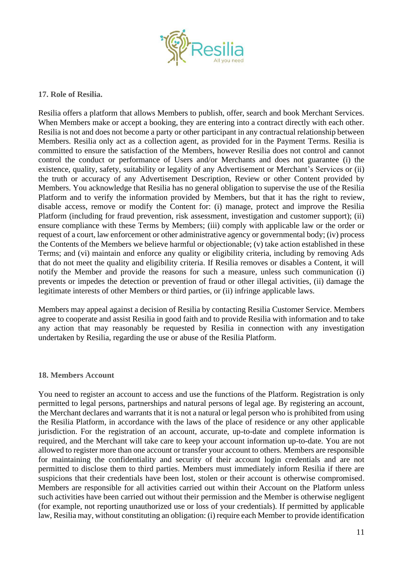

## **17. Role of Resilia.**

Resilia offers a platform that allows Members to publish, offer, search and book Merchant Services. When Members make or accept a booking, they are entering into a contract directly with each other. Resilia is not and does not become a party or other participant in any contractual relationship between Members. Resilia only act as a collection agent, as provided for in the Payment Terms. Resilia is committed to ensure the satisfaction of the Members, however Resilia does not control and cannot control the conduct or performance of Users and/or Merchants and does not guarantee (i) the existence, quality, safety, suitability or legality of any Advertisement or Merchant's Services or (ii) the truth or accuracy of any Advertisement Description, Review or other Content provided by Members. You acknowledge that Resilia has no general obligation to supervise the use of the Resilia Platform and to verify the information provided by Members, but that it has the right to review, disable access, remove or modify the Content for: (i) manage, protect and improve the Resilia Platform (including for fraud prevention, risk assessment, investigation and customer support); (ii) ensure compliance with these Terms by Members; (iii) comply with applicable law or the order or request of a court, law enforcement or other administrative agency or governmental body; (iv) process the Contents of the Members we believe harmful or objectionable; (v) take action established in these Terms; and (vi) maintain and enforce any quality or eligibility criteria, including by removing Ads that do not meet the quality and eligibility criteria. If Resilia removes or disables a Content, it will notify the Member and provide the reasons for such a measure, unless such communication (i) prevents or impedes the detection or prevention of fraud or other illegal activities, (ii) damage the legitimate interests of other Members or third parties, or (ii) infringe applicable laws.

Members may appeal against a decision of Resilia by contacting Resilia Customer Service. Members agree to cooperate and assist Resilia in good faith and to provide Resilia with information and to take any action that may reasonably be requested by Resilia in connection with any investigation undertaken by Resilia, regarding the use or abuse of the Resilia Platform.

### **18. Members Account**

You need to register an account to access and use the functions of the Platform. Registration is only permitted to legal persons, partnerships and natural persons of legal age. By registering an account, the Merchant declares and warrants that it is not a natural or legal person who is prohibited from using the Resilia Platform, in accordance with the laws of the place of residence or any other applicable jurisdiction. For the registration of an account, accurate, up-to-date and complete information is required, and the Merchant will take care to keep your account information up-to-date. You are not allowed to register more than one account or transfer your account to others. Members are responsible for maintaining the confidentiality and security of their account login credentials and are not permitted to disclose them to third parties. Members must immediately inform Resilia if there are suspicions that their credentials have been lost, stolen or their account is otherwise compromised. Members are responsible for all activities carried out within their Account on the Platform unless such activities have been carried out without their permission and the Member is otherwise negligent (for example, not reporting unauthorized use or loss of your credentials). If permitted by applicable law, Resilia may, without constituting an obligation: (i) require each Member to provide identification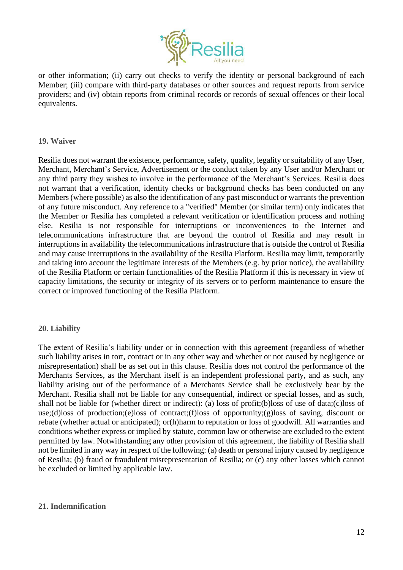

or other information; (ii) carry out checks to verify the identity or personal background of each Member; (iii) compare with third-party databases or other sources and request reports from service providers; and (iv) obtain reports from criminal records or records of sexual offences or their local equivalents.

### **19. Waiver**

Resilia does not warrant the existence, performance, safety, quality, legality or suitability of any User, Merchant, Merchant's Service, Advertisement or the conduct taken by any User and/or Merchant or any third party they wishes to involve in the performance of the Merchant's Services. Resilia does not warrant that a verification, identity checks or background checks has been conducted on any Members (where possible) as also the identification of any past misconduct or warrants the prevention of any future misconduct. Any reference to a "verified" Member (or similar term) only indicates that the Member or Resilia has completed a relevant verification or identification process and nothing else. Resilia is not responsible for interruptions or inconveniences to the Internet and telecommunications infrastructure that are beyond the control of Resilia and may result in interruptions in availability the telecommunications infrastructure that is outside the control of Resilia and may cause interruptions in the availability of the Resilia Platform. Resilia may limit, temporarily and taking into account the legitimate interests of the Members (e.g. by prior notice), the availability of the Resilia Platform or certain functionalities of the Resilia Platform if this is necessary in view of capacity limitations, the security or integrity of its servers or to perform maintenance to ensure the correct or improved functioning of the Resilia Platform.

# **20. Liability**

The extent of Resilia's liability under or in connection with this agreement (regardless of whether such liability arises in tort, contract or in any other way and whether or not caused by negligence or misrepresentation) shall be as set out in this clause. Resilia does not control the performance of the Merchants Services, as the Merchant itself is an independent professional party, and as such, any liability arising out of the performance of a Merchants Service shall be exclusively bear by the Merchant. Resilia shall not be liable for any consequential, indirect or special losses, and as such, shall not be liable for (whether direct or indirect): (a) loss of profit;(b)loss of use of data;(c)loss of use;(d)loss of production;(e)loss of contract;(f)loss of opportunity;(g)loss of saving, discount or rebate (whether actual or anticipated); or(h)harm to reputation or loss of goodwill. All warranties and conditions whether express or implied by statute, common law or otherwise are excluded to the extent permitted by law. Notwithstanding any other provision of this agreement, the liability of Resilia shall not be limited in any way in respect of the following: (a) death or personal injury caused by negligence of Resilia; (b) fraud or fraudulent misrepresentation of Resilia; or (c) any other losses which cannot be excluded or limited by applicable law.

### **21. Indemnification**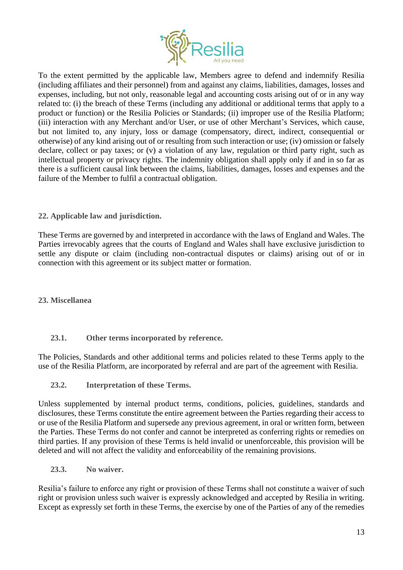

To the extent permitted by the applicable law, Members agree to defend and indemnify Resilia (including affiliates and their personnel) from and against any claims, liabilities, damages, losses and expenses, including, but not only, reasonable legal and accounting costs arising out of or in any way related to: (i) the breach of these Terms (including any additional or additional terms that apply to a product or function) or the Resilia Policies or Standards; (ii) improper use of the Resilia Platform; (iii) interaction with any Merchant and/or User, or use of other Merchant's Services, which cause, but not limited to, any injury, loss or damage (compensatory, direct, indirect, consequential or otherwise) of any kind arising out of or resulting from such interaction or use; (iv) omission or falsely declare, collect or pay taxes; or (v) a violation of any law, regulation or third party right, such as intellectual property or privacy rights. The indemnity obligation shall apply only if and in so far as there is a sufficient causal link between the claims, liabilities, damages, losses and expenses and the failure of the Member to fulfil a contractual obligation.

# **22. Applicable law and jurisdiction.**

These Terms are governed by and interpreted in accordance with the laws of England and Wales. The Parties irrevocably agrees that the courts of England and Wales shall have exclusive jurisdiction to settle any dispute or claim (including non-contractual disputes or claims) arising out of or in connection with this agreement or its subject matter or formation.

**23. Miscellanea**

# **23.1. Other terms incorporated by reference.**

The Policies, Standards and other additional terms and policies related to these Terms apply to the use of the Resilia Platform, are incorporated by referral and are part of the agreement with Resilia.

**23.2. Interpretation of these Terms.** 

Unless supplemented by internal product terms, conditions, policies, guidelines, standards and disclosures, these Terms constitute the entire agreement between the Parties regarding their access to or use of the Resilia Platform and supersede any previous agreement, in oral or written form, between the Parties. These Terms do not confer and cannot be interpreted as conferring rights or remedies on third parties. If any provision of these Terms is held invalid or unenforceable, this provision will be deleted and will not affect the validity and enforceability of the remaining provisions.

**23.3. No waiver.** 

Resilia's failure to enforce any right or provision of these Terms shall not constitute a waiver of such right or provision unless such waiver is expressly acknowledged and accepted by Resilia in writing. Except as expressly set forth in these Terms, the exercise by one of the Parties of any of the remedies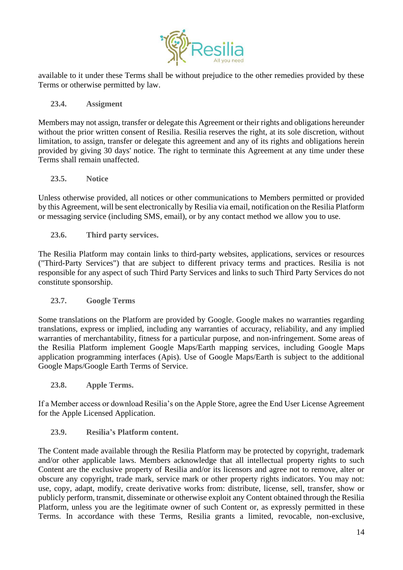

available to it under these Terms shall be without prejudice to the other remedies provided by these Terms or otherwise permitted by law.

## **23.4. Assigment**

Members may not assign, transfer or delegate this Agreement or their rights and obligations hereunder without the prior written consent of Resilia. Resilia reserves the right, at its sole discretion, without limitation, to assign, transfer or delegate this agreement and any of its rights and obligations herein provided by giving 30 days' notice. The right to terminate this Agreement at any time under these Terms shall remain unaffected.

## **23.5. Notice**

Unless otherwise provided, all notices or other communications to Members permitted or provided by this Agreement, will be sent electronically by Resilia via email, notification on the Resilia Platform or messaging service (including SMS, email), or by any contact method we allow you to use.

**23.6. Third party services.**

The Resilia Platform may contain links to third-party websites, applications, services or resources ("Third-Party Services") that are subject to different privacy terms and practices. Resilia is not responsible for any aspect of such Third Party Services and links to such Third Party Services do not constitute sponsorship.

# **23.7. Google Terms**

Some translations on the Platform are provided by Google. Google makes no warranties regarding translations, express or implied, including any warranties of accuracy, reliability, and any implied warranties of merchantability, fitness for a particular purpose, and non-infringement. Some areas of the Resilia Platform implement Google Maps/Earth mapping services, including Google Maps application programming interfaces (Apis). Use of Google Maps/Earth is subject to the additional Google Maps/Google Earth Terms of Service.

**23.8. Apple Terms.** 

If a Member access or download Resilia's on the Apple Store, agree the End User License Agreement for the Apple Licensed Application.

# **23.9. Resilia's Platform content.**

The Content made available through the Resilia Platform may be protected by copyright, trademark and/or other applicable laws. Members acknowledge that all intellectual property rights to such Content are the exclusive property of Resilia and/or its licensors and agree not to remove, alter or obscure any copyright, trade mark, service mark or other property rights indicators. You may not: use, copy, adapt, modify, create derivative works from: distribute, license, sell, transfer, show or publicly perform, transmit, disseminate or otherwise exploit any Content obtained through the Resilia Platform, unless you are the legitimate owner of such Content or, as expressly permitted in these Terms. In accordance with these Terms, Resilia grants a limited, revocable, non-exclusive,